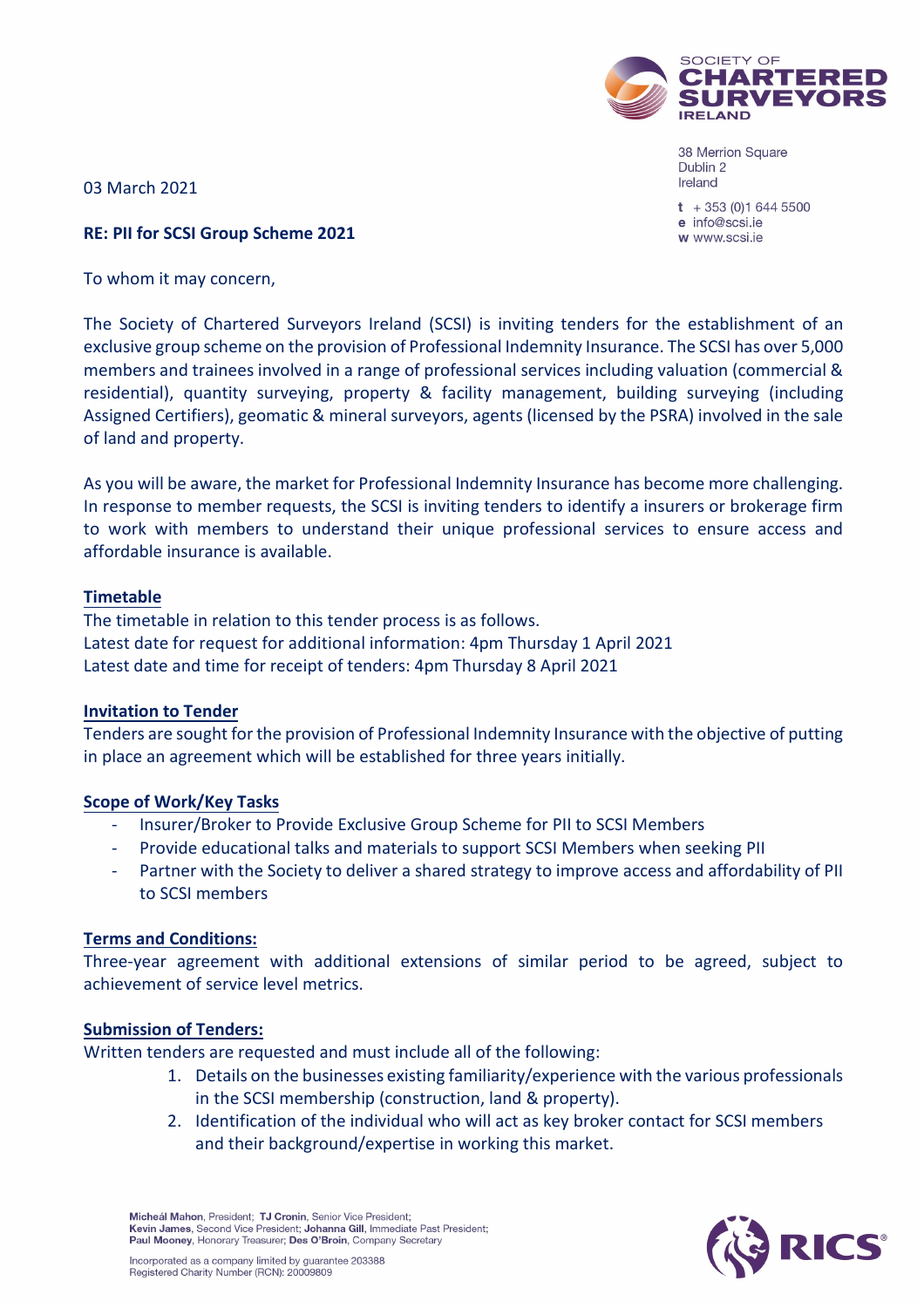

38 Merrion Square Dublin 2 Ireland

 $t + 353(0)16445500$ e info@scsi.ie w www.scsi.je

03 March 2021

## **RE: PII for SCSI Group Scheme 2021**

To whom it may concern,

The Society of Chartered Surveyors Ireland (SCSI) is inviting tenders for the establishment of an exclusive group scheme on the provision of Professional Indemnity Insurance. The SCSI has over 5,000 members and trainees involved in a range of professional services including valuation (commercial & residential), quantity surveying, property & facility management, building surveying (including Assigned Certifiers), geomatic & mineral surveyors, agents (licensed by the PSRA) involved in the sale of land and property.

As you will be aware, the market for Professional Indemnity Insurance has become more challenging. In response to member requests, the SCSI is inviting tenders to identify a insurers or brokerage firm to work with members to understand their unique professional services to ensure access and affordable insurance is available.

## **Timetable**

The timetable in relation to this tender process is as follows. Latest date for request for additional information: 4pm Thursday 1 April 2021 Latest date and time for receipt of tenders: 4pm Thursday 8 April 2021

#### **Invitation to Tender**

Tenders are sought for the provision of Professional Indemnity Insurance with the objective of putting in place an agreement which will be established for three years initially.

## **Scope of Work/Key Tasks**

- Insurer/Broker to Provide Exclusive Group Scheme for PII to SCSI Members
- Provide educational talks and materials to support SCSI Members when seeking PII
- Partner with the Society to deliver a shared strategy to improve access and affordability of PII to SCSI members

## **Terms and Conditions:**

Three-year agreement with additional extensions of similar period to be agreed, subject to achievement of service level metrics.

#### **Submission of Tenders:**

Written tenders are requested and must include all of the following:

- 1. Details on the businesses existing familiarity/experience with the various professionals in the SCSI membership (construction, land & property).
- 2. Identification of the individual who will act as key broker contact for SCSI members and their background/expertise in working this market.

Micheál Mahon, President; TJ Cronin, Senior Vice President; Kevin James, Second Vice President; Johanna Gill, Immediate Past President; Paul Mooney, Honorary Treasurer; Des O'Broin, Company Secretary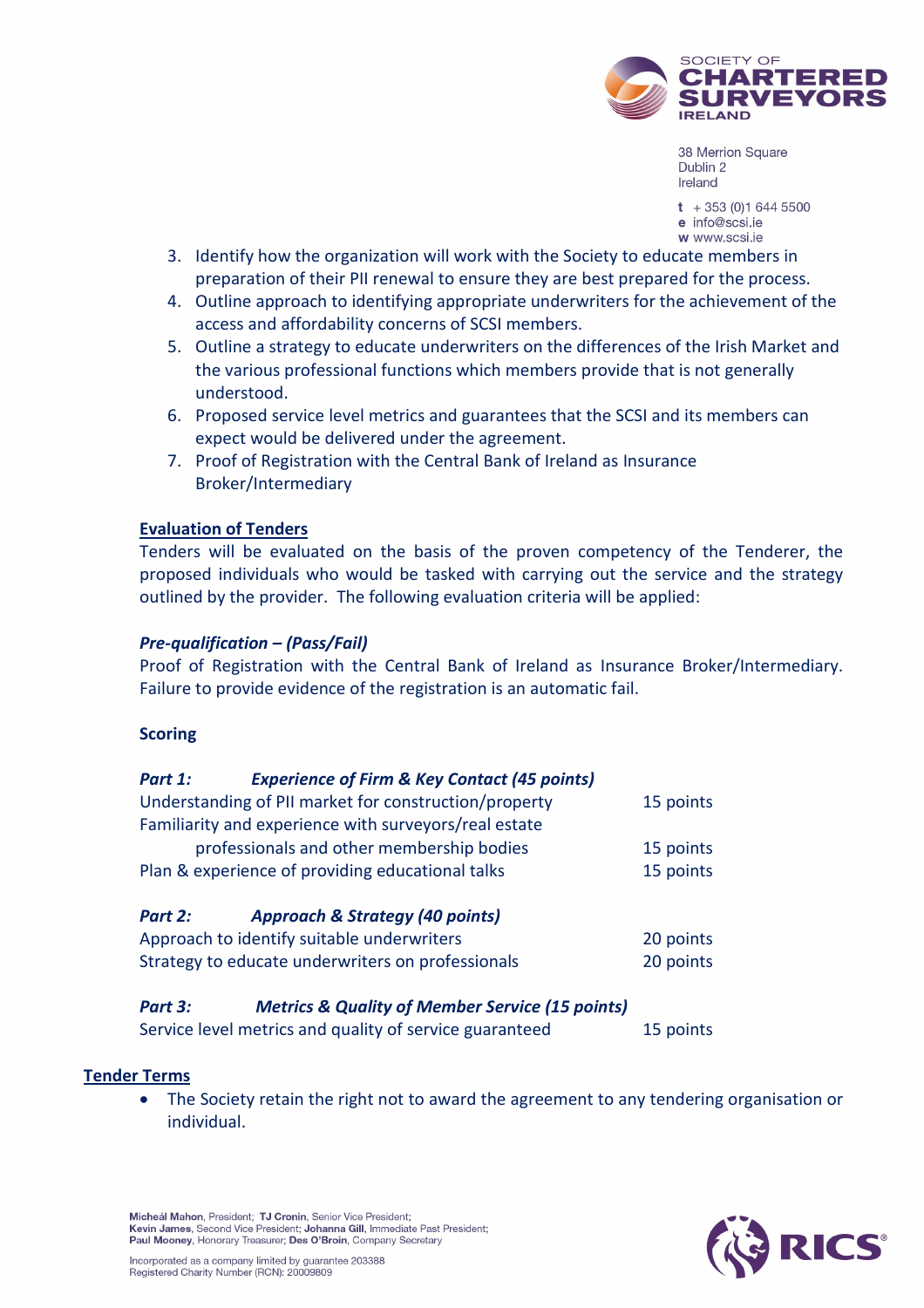

38 Merrion Square Dublin 2 Ireland

 $t + 353(0)16445500$ e info@scsi.ie w www.scsi.je

- 3. Identify how the organization will work with the Society to educate members in preparation of their PII renewal to ensure they are best prepared for the process.
- 4. Outline approach to identifying appropriate underwriters for the achievement of the access and affordability concerns of SCSI members.
- 5. Outline a strategy to educate underwriters on the differences of the Irish Market and the various professional functions which members provide that is not generally understood.
- 6. Proposed service level metrics and guarantees that the SCSI and its members can expect would be delivered under the agreement.
- 7. Proof of Registration with the Central Bank of Ireland as Insurance Broker/Intermediary

# **Evaluation of Tenders**

Tenders will be evaluated on the basis of the proven competency of the Tenderer, the proposed individuals who would be tasked with carrying out the service and the strategy outlined by the provider. The following evaluation criteria will be applied:

## *Pre-qualification – (Pass/Fail)*

Proof of Registration with the Central Bank of Ireland as Insurance Broker/Intermediary. Failure to provide evidence of the registration is an automatic fail.

## **Scoring**

| Part 1:                                               | <b>Experience of Firm &amp; Key Contact (45 points)</b> |           |
|-------------------------------------------------------|---------------------------------------------------------|-----------|
| Understanding of PII market for construction/property | 15 points                                               |           |
|                                                       | Familiarity and experience with surveyors/real estate   |           |
|                                                       | professionals and other membership bodies               | 15 points |
| Plan & experience of providing educational talks      | 15 points                                               |           |
| Part 2:                                               | <b>Approach &amp; Strategy (40 points)</b>              |           |
| Approach to identify suitable underwriters            |                                                         | 20 points |
| Strategy to educate underwriters on professionals     | 20 points                                               |           |

# *Part 3: Metrics & Quality of Member Service (15 points)*

| Service level metrics and quality of service guaranteed | 15 points |
|---------------------------------------------------------|-----------|
|---------------------------------------------------------|-----------|

## **Tender Terms**

• The Society retain the right not to award the agreement to any tendering organisation or individual.



Micheál Mahon, President; TJ Cronin, Senior Vice President; Kevin James, Second Vice President; Johanna Gill, Immediate Past President; Paul Mooney, Honorary Treasurer; Des O'Broin, Company Secretary